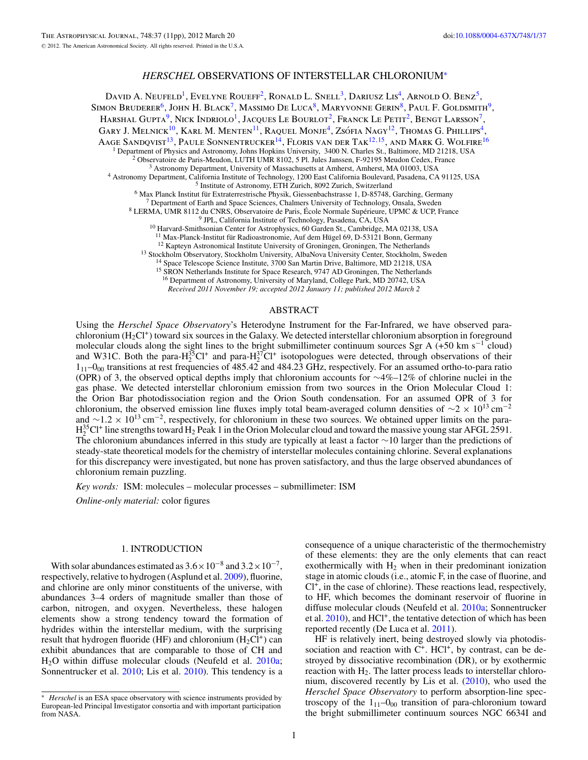# *HERSCHEL* OBSERVATIONS OF INTERSTELLAR CHLORONIUM<sup>∗</sup>

DAVID A. NEUFELD<sup>1</sup>, EVELYNE ROUEFF<sup>2</sup>, RONALD L. SNELL<sup>3</sup>, DARIUSZ LIS<sup>4</sup>, ARNOLD O. BENZ<sup>5</sup>, SIMON BRUDERER<sup>6</sup>, JOHN H. BLACK<sup>7</sup>, MASSIMO DE LUCA<sup>8</sup>, MARYVONNE GERIN<sup>8</sup>, PAUL F. GOLDSMITH<sup>9</sup>, Harshal Gupta<sup>9</sup>, Nick Indriolo<sup>1</sup>, Jacques Le Bourlot<sup>2</sup>, Franck Le Petit<sup>2</sup>, Bengt Larsson<sup>7</sup>, GARY J. MELNICK<sup>10</sup>, KARL M. MENTEN<sup>11</sup>, RAQUEL MONJE<sup>4</sup>, ZSÓFIA NAGY<sup>12</sup>, THOMAS G. PHILLIPS<sup>4</sup>, Aage Sandqvist<sup>13</sup>, Paule Sonnentrucker<sup>14</sup>, Floris van der Tak<sup>12,15</sup>, and Mark G. Wolfire<sup>16</sup> <sup>1</sup> Department of Physics and Astronomy, Johns Hopkins University, 3400 N. Charles St., Baltimore, MD 21218, USA<br>
<sup>2</sup> Observatoire de Paris-Meudon, LUTH UMR 8102, 5 Pl. Jules Janssen, F-92195 Meudon Cedex, France<br>
<sup>3</sup> Ast <sup>11</sup> Max-Planck-Institut für Radioastronomie, Auf dem Hügel 69, D-53121 Bonn, Germany<br><sup>12</sup> Kapteyn Astronomical Institute University of Groningen, Groningen, The Netherlands<br><sup>13</sup> Stockholm Observatory, Stockholm Universit

<sup>16</sup> Department of Astronomy, University of Maryland, College Park, MD 20742, USA *Received 2011 November 19; accepted 2012 January 11; published 2012 March 2*

ABSTRACT

Using the *Herschel Space Observatory*'s Heterodyne Instrument for the Far-Infrared, we have observed parachloronium  $(H<sub>2</sub>Cl<sup>+</sup>)$  toward six sources in the Galaxy. We detected interstellar chloronium absorption in foreground molecular clouds along the sight lines to the bright submillimeter continuum sources Sgr A (+50 km s−<sup>1</sup> cloud) and W31C. Both the para- $H_2^{35}Cl^+$  and para- $H_2^{37}Cl^+$  isotopologues were detected, through observations of their  $1_{11}$ – $0_{00}$  transitions at rest frequencies of 485.42 and 484.23 GHz, respectively. For an assumed ortho-to-para ratio (OPR) of 3, the observed optical depths imply that chloronium accounts for ∼4%–12% of chlorine nuclei in the gas phase. We detected interstellar chloronium emission from two sources in the Orion Molecular Cloud 1: the Orion Bar photodissociation region and the Orion South condensation. For an assumed OPR of 3 for chloronium, the observed emission line fluxes imply total beam-averaged column densities of  $\sim$ 2 × 10<sup>13</sup> cm<sup>-2</sup> and ∼1.2 × 10<sup>13</sup> cm<sup>-2</sup>, respectively, for chloronium in these two sources. We obtained upper limits on the para- $H_2^{35}$ Cl<sup>+</sup> line strengths toward  $H_2$  Peak 1 in the Orion Molecular cloud and toward the massive young star AFGL 2591. The chloronium abundances inferred in this study are typically at least a factor ∼10 larger than the predictions of steady-state theoretical models for the chemistry of interstellar molecules containing chlorine. Several explanations for this discrepancy were investigated, but none has proven satisfactory, and thus the large observed abundances of chloronium remain puzzling.

*Key words:* ISM: molecules – molecular processes – submillimeter: ISM

*Online-only material:* color figures

#### 1. INTRODUCTION

With solar abundances estimated as  $3.6 \times 10^{-8}$  and  $3.2 \times 10^{-7}$ , respectively, relative to hydrogen (Asplund et al. [2009\)](#page-10-0), fluorine, and chlorine are only minor constituents of the universe, with abundances 3–4 orders of magnitude smaller than those of carbon, nitrogen, and oxygen. Nevertheless, these halogen elements show a strong tendency toward the formation of hydrides within the interstellar medium, with the surprising result that hydrogen fluoride (HF) and chloronium ( $H_2Cl^+$ ) can exhibit abundances that are comparable to those of CH and H2O within diffuse molecular clouds (Neufeld et al. [2010a;](#page-10-0) Sonnentrucker et al. [2010;](#page-10-0) Lis et al. [2010\)](#page-10-0). This tendency is a

consequence of a unique characteristic of the thermochemistry of these elements: they are the only elements that can react exothermically with  $H_2$  when in their predominant ionization stage in atomic clouds (i.e., atomic F, in the case of fluorine, and  $Cl^+$ , in the case of chlorine). These reactions lead, respectively, to HF, which becomes the dominant reservoir of fluorine in diffuse molecular clouds (Neufeld et al. [2010a;](#page-10-0) Sonnentrucker et al.  $2010$ ), and  $HC1<sup>+</sup>$ , the tentative detection of which has been reported recently (De Luca et al. [2011\)](#page-10-0).

HF is relatively inert, being destroyed slowly via photodissociation and reaction with  $C^+$ . HCl<sup>+</sup>, by contrast, can be destroyed by dissociative recombination (DR), or by exothermic reaction with  $H_2$ . The latter process leads to interstellar chloronium, discovered recently by Lis et al. [\(2010\)](#page-10-0), who used the *Herschel Space Observatory* to perform absorption-line spectroscopy of the  $1_{11}$ – $0_{00}$  transition of para-chloronium toward the bright submillimeter continuum sources NGC 6634I and

*Herschel* is an ESA space observatory with science instruments provided by European-led Principal Investigator consortia and with important participation from NASA.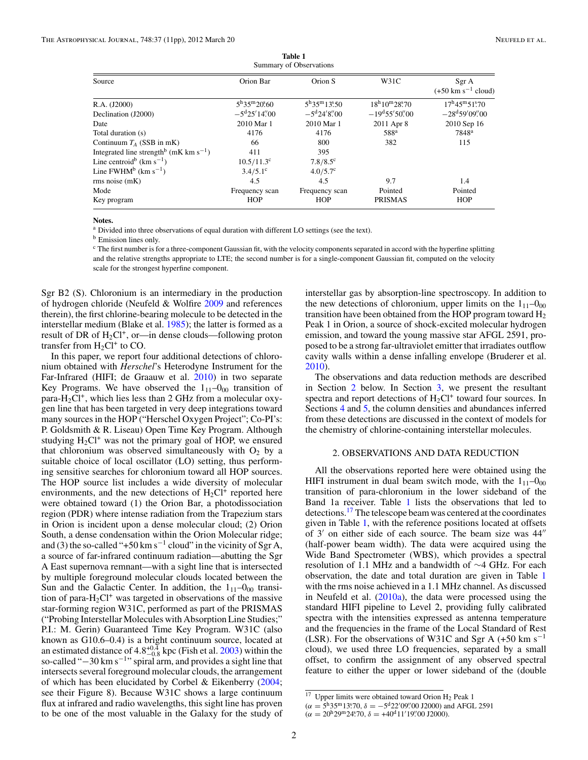<span id="page-1-0"></span>

| Summal y OI ODSCI VALIONS                                      |                                           |                                                   |                                    |                                                  |  |  |  |  |  |
|----------------------------------------------------------------|-------------------------------------------|---------------------------------------------------|------------------------------------|--------------------------------------------------|--|--|--|--|--|
| Source                                                         | Orion Bar                                 | Orion S                                           | W31C                               | Sgr A<br>$(+50 \text{ km s}^{-1} \text{ cloud})$ |  |  |  |  |  |
| R.A. (J2000)                                                   | $5^{\rm h}35^{\rm m}20\rlap{.}^{\rm s}60$ | $5^{\rm h}35^{\rm m}13^{\rm s}50$                 | $18^{\rm h}10^{\rm m}28^{\rm s}70$ | $17^{\rm h}45^{\rm m}51^{\rm s}70$               |  |  |  |  |  |
| Declination (J2000)                                            | $-5^{\rm d}25'14''.00$                    | $-5^{\rm d}24^{\prime}8^{\prime\prime}_{\rm c}00$ | $-19^{d}55'50''.00$                | $-28^{\rm d}59'09''.00$                          |  |  |  |  |  |
| Date                                                           | 2010 Mar 1                                | 2010 Mar 1                                        | 2011 Apr 8                         | 2010 Sep 16                                      |  |  |  |  |  |
| Total duration (s)                                             | 4176                                      | 4176                                              | 588 <sup>a</sup>                   | 7848 <sup>a</sup>                                |  |  |  |  |  |
| Continuum $T_A$ (SSB in mK)                                    | 66                                        | 800                                               | 382                                | 115                                              |  |  |  |  |  |
| Integrated line strength <sup>b</sup> (mK km s <sup>-1</sup> ) | 411                                       | 395                                               |                                    |                                                  |  |  |  |  |  |
| Line centroid <sup>b</sup> (km s <sup>-1</sup> )               | $10.5/11.3^c$                             | $7.8/8.5$ °                                       |                                    |                                                  |  |  |  |  |  |
| Line $FWHM^b$ (km s <sup>-1</sup> )                            | $3.4/5.1^{\circ}$                         | $4.0/5.7$ °                                       |                                    |                                                  |  |  |  |  |  |
| rms noise (mK)                                                 | 4.5                                       | 4.5                                               | 9.7                                | 1.4                                              |  |  |  |  |  |
| Mode                                                           | Frequency scan                            | Frequency scan                                    | Pointed                            | Pointed                                          |  |  |  |  |  |
| Key program                                                    | <b>HOP</b>                                | <b>HOP</b>                                        | <b>PRISMAS</b>                     | <b>HOP</b>                                       |  |  |  |  |  |

**Table 1** Summary of Observations

# **Notes.**

<sup>a</sup> Divided into three observations of equal duration with different LO settings (see the text).

<sup>b</sup> Emission lines only.

<sup>c</sup> The first number is for a three-component Gaussian fit, with the velocity components separated in accord with the hyperfine splitting and the relative strengths appropriate to LTE; the second number is for a single-component Gaussian fit, computed on the velocity scale for the strongest hyperfine component.

Sgr B2 (S). Chloronium is an intermediary in the production of hydrogen chloride (Neufeld & Wolfire [2009](#page-10-0) and references therein), the first chlorine-bearing molecule to be detected in the interstellar medium (Blake et al. [1985\)](#page-10-0); the latter is formed as a result of DR of  $H_2Cl^+$ , or—in dense clouds—following proton transfer from  $H_2Cl^+$  to CO.

In this paper, we report four additional detections of chloronium obtained with *Herschel*'s Heterodyne Instrument for the Far-Infrared (HIFI; de Graauw et al. [2010\)](#page-10-0) in two separate Key Programs. We have observed the  $1_{11}-0_{00}$  transition of para-H<sub>2</sub>Cl<sup>+</sup>, which lies less than 2 GHz from a molecular oxygen line that has been targeted in very deep integrations toward many sources in the HOP ("Herschel Oxygen Project"; Co-PI's: P. Goldsmith & R. Liseau) Open Time Key Program. Although studying  $H_2Cl^+$  was not the primary goal of HOP, we ensured that chloronium was observed simultaneously with  $O_2$  by a suitable choice of local oscillator (LO) setting, thus performing sensitive searches for chloronium toward all HOP sources. The HOP source list includes a wide diversity of molecular environments, and the new detections of  $H_2Cl^+$  reported here were obtained toward (1) the Orion Bar, a photodissociation region (PDR) where intense radiation from the Trapezium stars in Orion is incident upon a dense molecular cloud; (2) Orion South, a dense condensation within the Orion Molecular ridge; and (3) the so-called "+50 km s<sup>-1</sup> cloud" in the vicinity of Sgr A, a source of far-infrared continuum radiation—abutting the Sgr A East supernova remnant—with a sight line that is intersected by multiple foreground molecular clouds located between the Sun and the Galactic Center. In addition, the  $1_{11}-0_{00}$  transition of para- $H_2Cl^+$  was targeted in observations of the massive star-forming region W31C, performed as part of the PRISMAS ("Probing Interstellar Molecules with Absorption Line Studies;" P.I.: M. Gerin) Guaranteed Time Key Program. W31C (also known as G10.6–0.4) is a bright continuum source, located at an estimated distance of 4*.*8+0*.*<sup>4</sup> <sup>−</sup>0*.*<sup>8</sup> kpc (Fish et al. [2003\)](#page-10-0) within the so-called " $-30 \text{ km s}^{-1}$ " spiral arm, and provides a sight line that intersects several foreground molecular clouds, the arrangement of which has been elucidated by Corbel & Eikenberry [\(2004;](#page-10-0) see their Figure 8). Because W31C shows a large continuum flux at infrared and radio wavelengths, this sight line has proven to be one of the most valuable in the Galaxy for the study of

interstellar gas by absorption-line spectroscopy. In addition to the new detections of chloronium, upper limits on the  $1_{11}-0_{00}$ transition have been obtained from the HOP program toward  $H_2$ Peak 1 in Orion, a source of shock-excited molecular hydrogen emission, and toward the young massive star AFGL 2591, proposed to be a strong far-ultraviolet emitter that irradiates outflow cavity walls within a dense infalling envelope (Bruderer et al. [2010\)](#page-10-0).

The observations and data reduction methods are described in Section 2 below. In Section [3,](#page-2-0) we present the resultant spectra and report detections of  $H_2Cl^+$  toward four sources. In Sections [4](#page-2-0) and [5,](#page-6-0) the column densities and abundances inferred from these detections are discussed in the context of models for the chemistry of chlorine-containing interstellar molecules.

#### 2. OBSERVATIONS AND DATA REDUCTION

All the observations reported here were obtained using the HIFI instrument in dual beam switch mode, with the  $1_{11}-0_{00}$ transition of para-chloronium in the lower sideband of the Band 1a receiver. Table 1 lists the observations that led to detections.<sup>17</sup> The telescope beam was centered at the coordinates given in Table 1, with the reference positions located at offsets of  $3'$  on either side of each source. The beam size was  $44''$ (half-power beam width). The data were acquired using the Wide Band Spectrometer (WBS), which provides a spectral resolution of 1.1 MHz and a bandwidth of ∼4 GHz. For each observation, the date and total duration are given in Table 1 with the rms noise achieved in a 1.1 MHz channel. As discussed in Neufeld et al.  $(2010a)$ , the data were processed using the standard HIFI pipeline to Level 2, providing fully calibrated spectra with the intensities expressed as antenna temperature and the frequencies in the frame of the Local Standard of Rest (LSR). For the observations of W31C and Sgr A (+50 km s<sup>-1</sup>) cloud), we used three LO frequencies, separated by a small offset, to confirm the assignment of any observed spectral feature to either the upper or lower sideband of the (double

 $\overline{17}$  Upper limits were obtained toward Orion H<sub>2</sub> Peak 1

 $(\alpha = 5^{\text{h}} 35^{\text{m}} 13^{\text{s}} 70, \delta = -5^{\text{d}} 22' 09'' 00 \text{ J} 2000)$  and AFGL 2591

 $(\alpha = 20^{\text{h}} 29^{\text{m}} 24^{\text{s}} 70, \delta = +40^{\text{d}} 11' 19'' 00 \text{ J}2000).$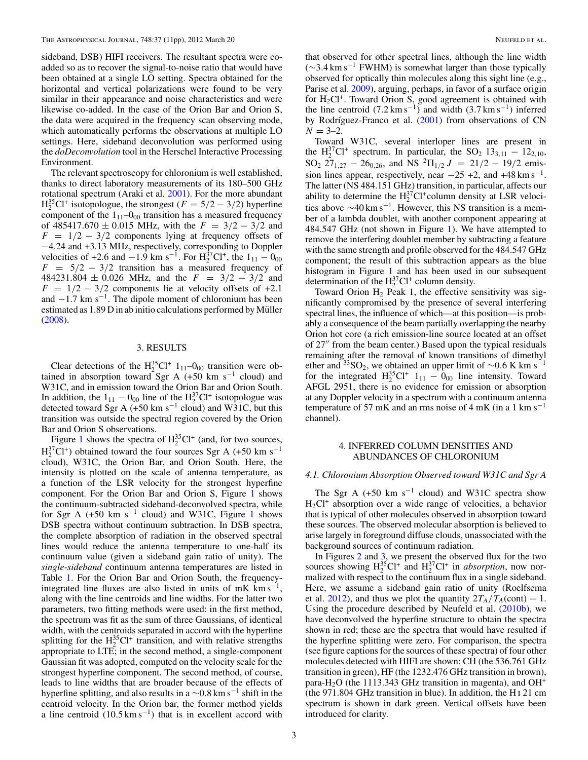<span id="page-2-0"></span>sideband, DSB) HIFI receivers. The resultant spectra were coadded so as to recover the signal-to-noise ratio that would have been obtained at a single LO setting. Spectra obtained for the horizontal and vertical polarizations were found to be very similar in their appearance and noise characteristics and were likewise co-added. In the case of the Orion Bar and Orion S, the data were acquired in the frequency scan observing mode, which automatically performs the observations at multiple LO settings. Here, sideband deconvolution was performed using the *doDeconvolution* tool in the Herschel Interactive Processing Environment.

The relevant spectroscopy for chloronium is well established, thanks to direct laboratory measurements of its 180–500 GHz rotational spectrum (Araki et al. [2001\)](#page-10-0). For the more abundant  $H_2^{35}Cl^+$  isotopologue, the strongest  $(F = 5/2 - 3/2)$  hyperfine component of the  $1_{11}$ – $0_{00}$  transition has a measured frequency of 485417*.*670 ± 0*.*015 MHz, with the *F* = 3*/*2 − 3*/*2 and *F* = 1*/*2 − 3*/*2 components lying at frequency offsets of −4.24 and +3.13 MHz, respectively, corresponding to Doppler velocities of +2.6 and  $-1.9$  km s<sup>-1</sup>. For  $\text{H}_2^{37}\text{Cl}^+$ , the  $1_{11} - 0_{00}$  $F = 5/2 - 3/2$  transition has a measured frequency of  $484231.804 \pm 0.026$  MHz, and the  $F = 3/2 - 3/2$  and  $F = 1/2 - 3/2$  components lie at velocity offsets of +2.1 and  $-1.7$  km s<sup>-1</sup>. The dipole moment of chloronium has been estimated as  $1.89$  D in ab initio calculations performed by Müller [\(2008\)](#page-10-0).

# 3. RESULTS

Clear detections of the  $H_2^{35}Cl^+$  1<sub>11</sub>–0<sub>00</sub> transition were obtained in absorption toward Sgr A (+50 km s<sup>-1</sup> cloud) and W31C, and in emission toward the Orion Bar and Orion South. In addition, the  $1_{11} - 0_{00}$  line of the  $H_2^{37}Cl^+$  isotopologue was detected toward Sgr A (+50 km s<sup>-1</sup> cloud) and W31C, but this transition was outside the spectral region covered by the Orion Bar and Orion S observations.

Figure [1](#page-3-0) shows the spectra of  $H_2^{35}Cl^+$  (and, for two sources,  $H_2^{37}Cl^+$ ) obtained toward the four sources Sgr A (+50 km s<sup>-1</sup>) cloud), W31C, the Orion Bar, and Orion South. Here, the intensity is plotted on the scale of antenna temperature, as a function of the LSR velocity for the strongest hyperfine component. For the Orion Bar and Orion S, Figure [1](#page-3-0) shows the continuum-subtracted sideband-deconvolved spectra, while for Sgr A (+50 km s<sup>-[1](#page-3-0)</sup> cloud) and W31C, Figure 1 shows DSB spectra without continuum subtraction. In DSB spectra, the complete absorption of radiation in the observed spectral lines would reduce the antenna temperature to one-half its continuum value (given a sideband gain ratio of unity). The *single-sideband* continuum antenna temperatures are listed in Table [1.](#page-1-0) For the Orion Bar and Orion South, the frequencyintegrated line fluxes are also listed in units of mK  $km s^{-1}$ , along with the line centroids and line widths. For the latter two parameters, two fitting methods were used: in the first method, the spectrum was fit as the sum of three Gaussians, of identical width, with the centroids separated in accord with the hyperfine splitting for the  $H_2^{35}Cl^+$  transition, and with relative strengths appropriate to LTE; in the second method, a single-component Gaussian fit was adopted, computed on the velocity scale for the strongest hyperfine component. The second method, of course, leads to line widths that are broader because of the effects of hyperfine splitting, and also results in a  $\sim 0.8$  km s<sup>-1</sup> shift in the centroid velocity. In the Orion bar, the former method yields a line centroid  $(10.5 \text{ km s}^{-1})$  that is in excellent accord with

that observed for other spectral lines, although the line width (∼3*.*4 km s−<sup>1</sup> FWHM) is somewhat larger than those typically observed for optically thin molecules along this sight line (e.g., Parise et al. [2009\)](#page-10-0), arguing, perhaps, in favor of a surface origin for  $H_2Cl^+$ . Toward Orion S, good agreement is obtained with the line centroid  $(7.2 \text{ km s}^{-1})$  and width  $(3.7 \text{ km s}^{-1})$  inferred by Rodríguez-Franco et al.  $(2001)$  from observations of CN  $N = 3-2.$ 

Toward W31C, several interloper lines are present in the H<sub>2</sub><sup>3</sup>7Cl<sup>+</sup> spectrum. In particular, the SO<sub>2</sub> 13<sub>3,11</sub> – 12<sub>2,10</sub>,  $SO_2$  27<sub>1,27</sub> – 26<sub>0,26</sub>, and NS <sup>2</sup> $\Pi_{1/2}$  *J* = 21/2 – 19/2 emission lines appear, respectively, near  $-25 + 2$ , and  $+48 \text{ km s}^{-1}$ . The latter (NS 484.151 GHz) transition, in particular, affects our ability to determine the  $H_2^{37}Cl^+$ column density at LSR velocities above  $\sim$ 40 km s<sup>-1</sup>. However, this NS transition is a member of a lambda doublet, with another component appearing at 484.547 GHz (not shown in Figure [1\)](#page-3-0). We have attempted to remove the interfering doublet member by subtracting a feature with the same strength and profile observed for the 484.547 GHz component; the result of this subtraction appears as the blue histogram in Figure [1](#page-3-0) and has been used in our subsequent determination of the  $H_2^{37}Cl^+$  column density.

Toward Orion  $H_2$  Peak 1, the effective sensitivity was significantly compromised by the presence of several interfering spectral lines, the influence of which—at this position—is probably a consequence of the beam partially overlapping the nearby Orion hot core (a rich emission-line source located at an offset of 27" from the beam center.) Based upon the typical residuals remaining after the removal of known transitions of dimethyl ether and <sup>33</sup>SO<sub>2</sub>, we obtained an upper limit of ~0.6 K km s<sup>-1</sup> for the integrated  $H_2^{35}Cl^+$  1<sub>11</sub> –  $0_{00}$  line intensity. Toward AFGL 2951, there is no evidence for emission or absorption at any Doppler velocity in a spectrum with a continuum antenna temperature of 57 mK and an rms noise of 4 mK (in a 1 km s<sup>-1</sup> channel).

#### 4. INFERRED COLUMN DENSITIES AND ABUNDANCES OF CHLORONIUM

# *4.1. Chloronium Absorption Observed toward W31C and Sgr A*

The Sgr A (+50 km s<sup>-1</sup> cloud) and W31C spectra show  $H_2Cl^+$  absorption over a wide range of velocities, a behavior that is typical of other molecules observed in absorption toward these sources. The observed molecular absorption is believed to arise largely in foreground diffuse clouds, unassociated with the background sources of continuum radiation.

In Figures [2](#page-4-0) and [3,](#page-4-0) we present the observed flux for the two sources showing  $H_2^{35}Cl^+$  and  $H_2^{37}Cl^+$  in *absorption*, now normalized with respect to the continuum flux in a single sideband. Here, we assume a sideband gain ratio of unity (Roelfsema et al. [2012\)](#page-10-0), and thus we plot the quantity  $2T_A/T_A$ (cont) – 1. Using the procedure described by Neufeld et al. [\(2010b\)](#page-10-0), we have deconvolved the hyperfine structure to obtain the spectra shown in red; these are the spectra that would have resulted if the hyperfine splitting were zero. For comparison, the spectra (see figure captions for the sources of these spectra) of four other molecules detected with HIFI are shown: CH (the 536.761 GHz transition in green), HF (the 1232.476 GHz transition in brown), para-H<sub>2</sub>O (the 1113.343 GHz transition in magenta), and OH<sup>+</sup> (the 971.804 GHz transition in blue). In addition, the H i 21 cm spectrum is shown in dark green. Vertical offsets have been introduced for clarity.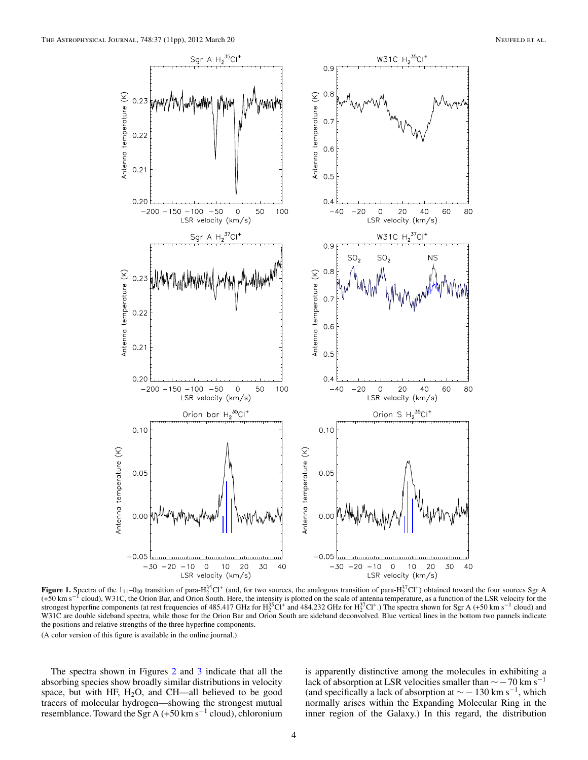<span id="page-3-0"></span>

**Figure 1.** Spectra of the  $1_{11}$ –0<sub>00</sub> transition of para-H<sub>2</sub><sup>35</sup>Cl<sup>+</sup> (and, for two sources, the analogous transition of para-H<sub>2</sub><sup>37</sup>Cl<sup>+</sup>) obtained toward the four sources Sgr A (+50 km s−<sup>1</sup> cloud), W31C, the Orion Bar, and Orion South. Here, the intensity is plotted on the scale of antenna temperature, as a function of the LSR velocity for the strongest hyperfine components (at rest frequencies of 485.417 GHz for  $H_2^{35}$ Cl<sup>+</sup> and 484.232 GHz for  $H_2^{37}$ Cl<sup>+</sup>.) The spectra shown for Sgr A (+50 km s<sup>-1</sup> cloud) and W31C are double sideband spectra, while those for the Orion Bar and Orion South are sideband deconvolved. Blue vertical lines in the bottom two pannels indicate the positions and relative strengths of the three hyperfine components.

(A color version of this figure is available in the online journal.)

The spectra shown in Figures [2](#page-4-0) and [3](#page-4-0) indicate that all the absorbing species show broadly similar distributions in velocity space, but with HF,  $H_2O$ , and CH—all believed to be good tracers of molecular hydrogen—showing the strongest mutual resemblance. Toward the Sgr A (+50 km s<sup>-1</sup> cloud), chloronium is apparently distinctive among the molecules in exhibiting a lack of absorption at LSR velocities smaller than  $\sim$  – 70 km s<sup>-1</sup> (and specifically a lack of absorption at  $\sim$  − 130 km s<sup>-1</sup>, which normally arises within the Expanding Molecular Ring in the inner region of the Galaxy.) In this regard, the distribution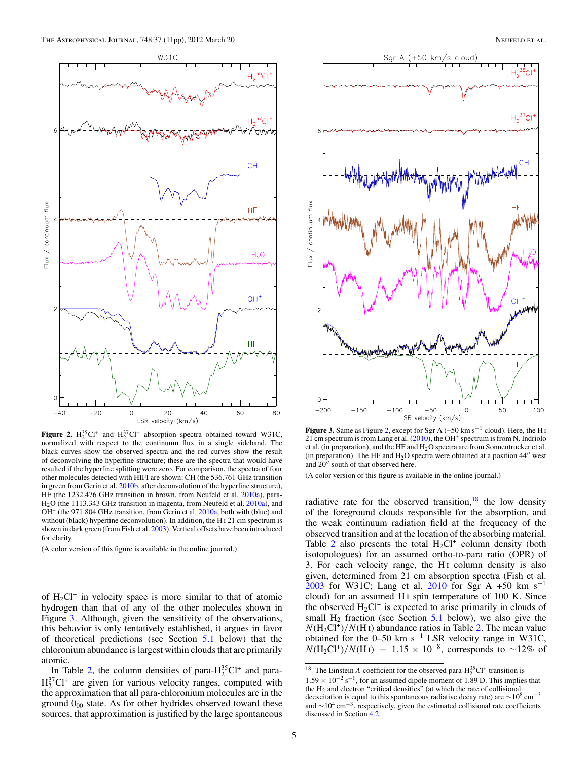<span id="page-4-0"></span>

**Figure 2.**  $H_2^{35}Cl^+$  and  $H_2^{37}Cl^+$  absorption spectra obtained toward W31C, normalized with respect to the continuum flux in a single sideband. The black curves show the observed spectra and the red curves show the result of deconvolving the hyperfine structure; these are the spectra that would have resulted if the hyperfine splitting were zero. For comparison, the spectra of four other molecules detected with HIFI are shown: CH (the 536.761 GHz transition in green from Gerin et al. [2010b,](#page-10-0) after deconvolution of the hyperfine structure), HF (the 1232.476 GHz transition in brown, from Neufeld et al. [2010a\)](#page-10-0), para-H<sub>2</sub>O (the 1113.343 GHz transition in magenta, from Neufeld et al. [2010a\)](#page-10-0), and OH<sup>+</sup> (the 971.804 GHz transition, from Gerin et al. [2010a,](#page-10-0) both with (blue) and without (black) hyperfine deconvolution). In addition, the H I 21 cm spectrum is shown in dark green (from Fish et al. [2003\)](#page-10-0). Vertical offsets have been introduced for clarity.

(A color version of this figure is available in the online journal.)

of  $H_2Cl^+$  in velocity space is more similar to that of atomic hydrogen than that of any of the other molecules shown in Figure 3. Although, given the sensitivity of the observations, this behavior is only tentatively established, it argues in favor of theoretical predictions (see Section [5.1](#page-7-0) below) that the chloronium abundance is largest within clouds that are primarily atomic.

In Table [2,](#page-5-0) the column densities of para- $H_2^{35}Cl^+$  and para- $H_2^{37}Cl^+$  are given for various velocity ranges, computed with the approximation that all para-chloronium molecules are in the ground  $0<sub>00</sub>$  state. As for other hydrides observed toward these sources, that approximation is justified by the large spontaneous



**Figure 3.** Same as Figure 2, except for Sgr A (+50 km s−<sup>1</sup> cloud). Here, the H i 21 cm spectrum is from Lang et al.  $(2010)$ , the OH<sup>+</sup> spectrum is from N. Indriolo et al. (in preparation), and the HF and H2O spectra are from Sonnentrucker et al. (in preparation). The HF and  $H<sub>2</sub>O$  spectra were obtained at a position  $44''$  west and 20" south of that observed here.

(A color version of this figure is available in the online journal.)

radiative rate for the observed transition, $18$  the low density of the foreground clouds responsible for the absorption, and the weak continuum radiation field at the frequency of the observed transition and at the location of the absorbing material. Table [2](#page-5-0) also presents the total  $H_2Cl^+$  column density (both isotopologues) for an assumed ortho-to-para ratio (OPR) of 3. For each velocity range, the H<sub>I</sub> column density is also given, determined from 21 cm absorption spectra (Fish et al. [2003](#page-10-0) for W31C; Lang et al. [2010](#page-10-0) for Sgr A +50 km s<sup>-1</sup> cloud) for an assumed H<sub>I</sub> spin temperature of 100 K. Since the observed  $H_2Cl^+$  is expected to arise primarily in clouds of small  $H_2$  fraction (see Section [5.1](#page-7-0) below), we also give the  $N(H_2Cl^+)/N(H_I)$  abundance ratios in Table [2.](#page-5-0) The mean value obtained for the 0–50 km s−<sup>1</sup> LSR velocity range in W31C,  $N(H_2Cl^+)/N(H_1) = 1.15 \times 10^{-8}$ , corresponds to ~12% of

<sup>&</sup>lt;sup>18</sup> The Einstein *A*-coefficient for the observed para- $H_2^{35}Cl^+$  transition is  $1.59 \times 10^{-2}$  s<sup>-1</sup>, for an assumed dipole moment of 1.89 D. This implies that the  $H_2$  and electron "critical densities" (at which the rate of collisional deexcitation is equal to this spontaneous radiative decay rate) are  $\sim$ 10<sup>8</sup> cm<sup>-3</sup> and  $\sim$ 10<sup>4</sup> cm<sup>-3</sup>, respectively, given the estimated collisional rate coefficients discussed in Section [4.2.](#page-5-0)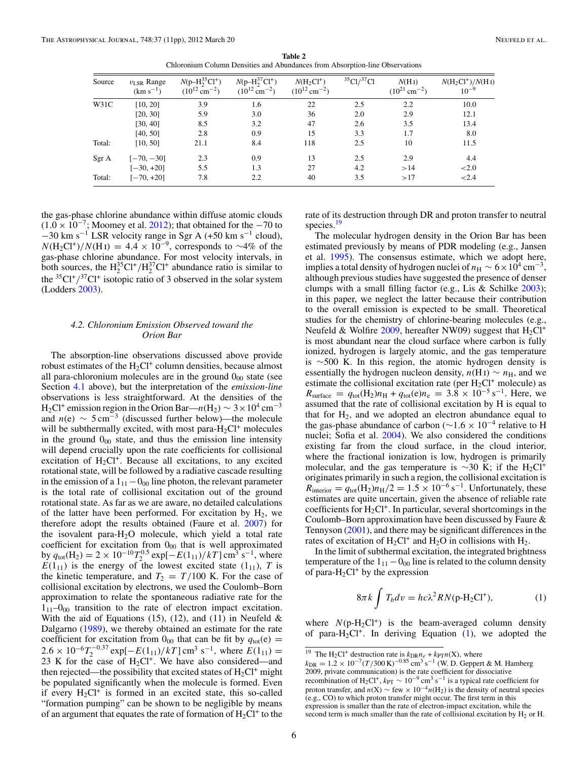**Table 2** Chloronium Column Densities and Abundances from Absorption-line Observations

<span id="page-5-0"></span>

| Source | $v_{LSR}$ Range<br>$(km s^{-1})$ | $N(p-H_2^{35}Cl^+)$<br>$(10^{12} \text{ cm}^{-2})$ | $N(p-H_2^{37}Cl^+)$<br>$(10^{12} \text{ cm}^{-2})$ | $N(H_2Cl^+)$<br>$(10^{12} \text{ cm}^{-2})$ | 35Cl/37Cl | N(HI)<br>$(10^{21}$ cm <sup>-2</sup> ) | $N(H_2Cl^+)/N(HI)$<br>$10^{-9}$ |
|--------|----------------------------------|----------------------------------------------------|----------------------------------------------------|---------------------------------------------|-----------|----------------------------------------|---------------------------------|
| W31C   | [10, 20]                         | 3.9                                                | 1.6                                                | 22                                          | 2.5       | 2.2                                    | 10.0                            |
|        | [20, 30]                         | 5.9                                                | 3.0                                                | 36                                          | 2.0       | 2.9                                    | 12.1                            |
|        | [30, 40]                         | 8.5                                                | 3.2                                                | 47                                          | 2.6       | 3.5                                    | 13.4                            |
|        | [40, 50]                         | 2.8                                                | 0.9                                                | 15                                          | 3.3       | 1.7                                    | 8.0                             |
| Total: | [10, 50]                         | 21.1                                               | 8.4                                                | 118                                         | 2.5       | 10                                     | 11.5                            |
| Sgr A  | $[-70, -30]$                     | 2.3                                                | 0.9                                                | 13                                          | 2.5       | 2.9                                    | 4.4                             |
|        | $[-30, +20]$                     | 5.5                                                | 1.3                                                | 27                                          | 4.2       | >14                                    | ${<}2.0$                        |
| Total: | $[-70, +20]$                     | 7.8                                                | 2.2                                                | 40                                          | 3.5       | >17                                    | ${<}2.4$                        |

the gas-phase chlorine abundance within diffuse atomic clouds  $(1.0 \times 10^{-7})$ ; Moomey et al. [2012\)](#page-10-0); that obtained for the  $-70$  to  $-30$  km s<sup>-1</sup> LSR velocity range in Sgr A (+50 km s<sup>-1</sup> cloud),  $N(H_2Cl^+)/N(H_1) = 4.4 \times 10^{-9}$ , corresponds to ~4% of the gas-phase chlorine abundance. For most velocity intervals, in both sources, the  $H_2^{35}Cl^+/H_2^{37}Cl^+$  abundance ratio is similar to the  ${}^{35}Cl^+/\frac{}^{37}Cl^+$  isotopic ratio of 3 observed in the solar system (Lodders [2003\)](#page-10-0).

# *4.2. Chloronium Emission Observed toward the Orion Bar*

The absorption-line observations discussed above provide robust estimates of the  $H_2Cl^+$  column densities, because almost all para-chloronium molecules are in the ground  $0_{00}$  state (see Section [4.1](#page-2-0) above), but the interpretation of the *emission-line* observations is less straightforward. At the densities of the H<sub>2</sub>Cl<sup>+</sup> emission region in the Orion Bar— $n(H_2) \sim 3 \times 10^4$  cm<sup>-3</sup> and  $n(e) \sim 5 \text{ cm}^{-3}$  (discussed further below)—the molecule will be subthermally excited, with most para- $H_2Cl^+$  molecules in the ground  $0<sub>00</sub>$  state, and thus the emission line intensity will depend crucially upon the rate coefficients for collisional excitation of  $H_2Cl^+$ . Because all excitations, to any excited rotational state, will be followed by a radiative cascade resulting in the emission of a  $1_{11}$  –  $0_{00}$  line photon, the relevant parameter is the total rate of collisional excitation out of the ground rotational state. As far as we are aware, no detailed calculations of the latter have been performed. For excitation by  $H_2$ , we therefore adopt the results obtained (Faure et al. [2007\)](#page-10-0) for the isovalent para- $H_2O$  molecule, which yield a total rate coefficient for excitation from  $0<sub>00</sub>$  that is well approximated by  $q_{\text{tot}}(H_2) = 2 \times 10^{-10} T_2^{0.5} \exp[-E(1_{11})/kT] \text{ cm}^3 \text{ s}^{-1}$ , where  $E(1_{11})$  is the energy of the lowest excited state (1<sub>11</sub>), *T* is the kinetic temperature, and  $T_2 = T/100$  K. For the case of collisional excitation by electrons, we used the Coulomb–Born approximation to relate the spontaneous radiative rate for the  $1_{11}$ – $0_{00}$  transition to the rate of electron impact excitation. With the aid of Equations (15), (12), and (11) in Neufeld  $\&$ Dalgarno [\(1989\)](#page-10-0), we thereby obtained an estimate for the rate coefficient for excitation from  $0_{00}$  that can be fit by  $q_{\text{tot}}(e) =$ 2.6 × 10<sup>-6</sup> $T_2^{-0.37}$  exp[ $-E(1_{11})/kT$ ] cm<sup>3</sup> s<sup>-1</sup>, where  $E(1_{11}) =$ 23 K for the case of  $H_2Cl^+$ . We have also considered—and then rejected—the possibility that excited states of  $H_2Cl^+$  might be populated significantly when the molecule is formed. Even if every  $H_2Cl^+$  is formed in an excited state, this so-called "formation pumping" can be shown to be negligible by means of an argument that equates the rate of formation of  $H_2Cl^+$  to the

rate of its destruction through DR and proton transfer to neutral species.<sup>19</sup>

The molecular hydrogen density in the Orion Bar has been estimated previously by means of PDR modeling (e.g., Jansen et al. [1995\)](#page-10-0). The consensus estimate, which we adopt here, implies a total density of hydrogen nuclei of  $n_H \sim 6 \times 10^4$  cm<sup>-3</sup> although previous studies have suggested the presence of denser clumps with a small filling factor (e.g., Lis  $&$  Schilke [2003\)](#page-10-0); in this paper, we neglect the latter because their contribution to the overall emission is expected to be small. Theoretical studies for the chemistry of chlorine-bearing molecules (e.g., Neufeld & Wolfire [2009,](#page-10-0) hereafter NW09) suggest that  $H_2Cl^+$ is most abundant near the cloud surface where carbon is fully ionized, hydrogen is largely atomic, and the gas temperature is ∼500 K. In this region, the atomic hydrogen density is essentially the hydrogen nucleon density,  $n(HI) \sim n_H$ , and we estimate the collisional excitation rate (per  $H_2Cl^+$  molecule) as  $R_{\text{surface}} = q_{\text{tot}}(H_2)n_{\text{H}} + q_{\text{tot}}(e)n_e = 3.\overline{8} \times 10^{-5} \text{ s}^{-1}$ . Here, we assumed that the rate of collisional excitation by H is equal to that for  $H_2$ , and we adopted an electron abundance equal to the gas-phase abundance of carbon ( $\sim$ 1.6 × 10<sup>-4</sup> relative to H nuclei; Sofia et al. [2004\)](#page-10-0). We also considered the conditions existing far from the cloud surface, in the cloud interior, where the fractional ionization is low, hydrogen is primarily molecular, and the gas temperature is  $\sim$ 30 K; if the H<sub>2</sub>Cl<sup>+</sup> originates primarily in such a region, the collisional excitation is  $R_{\text{interior}} = q_{\text{tot}}(H_2) n_{\text{H}}/2 = 1.5 \times 10^{-6} \text{ s}^{-1}$ . Unfortunately, these estimates are quite uncertain, given the absence of reliable rate coefficients for  $H_2Cl^+$ . In particular, several shortcomings in the Coulomb–Born approximation have been discussed by Faure & Tennyson [\(2001\)](#page-10-0), and there may be significant differences in the rates of excitation of  $H_2Cl^+$  and  $H_2O$  in collisions with  $H_2$ .

In the limit of subthermal excitation, the integrated brightness temperature of the  $1_{11} - 0_{00}$  line is related to the column density of para- $H_2Cl^+$  by the expression

$$
8\pi k \int T_b dv = hc\lambda^2 RN(p\text{-}H_2Cl^+),\tag{1}
$$

where  $N(p-H_2Cl^+)$  is the beam-averaged column density of para- $H_2Cl^+$ . In deriving Equation (1), we adopted the

<sup>&</sup>lt;sup>19</sup> The H<sub>2</sub>Cl<sup>+</sup> destruction rate is  $k_{\text{DR}}n_e + k_{\text{PT}}n(X)$ , where

*<sup>k</sup>*DR <sup>=</sup> <sup>1</sup>*.*<sup>2</sup> <sup>×</sup> <sup>10</sup>−7(*T /*300 K)−0*.*<sup>85</sup> cm<sup>3</sup> <sup>s</sup>−<sup>1</sup> (W. D. Geppert & M. Hamberg 2009, private communication) is the rate coefficient for dissociative recombination of H<sub>2</sub>Cl<sup>+</sup>,  $k_{PT} \sim 10^{-9}$  cm<sup>3</sup> s<sup>-1</sup> is a typical rate coefficient for proton transfer, and  $n(X) \sim$  few  $\times 10^{-4}n(H_2)$  is the density of neutral species (e.g., CO) to which proton transfer might occur. The first term in this expression is smaller than the rate of electron-impact excitation, while the second term is much smaller than the rate of collisional excitation by  $H_2$  or  $H$ .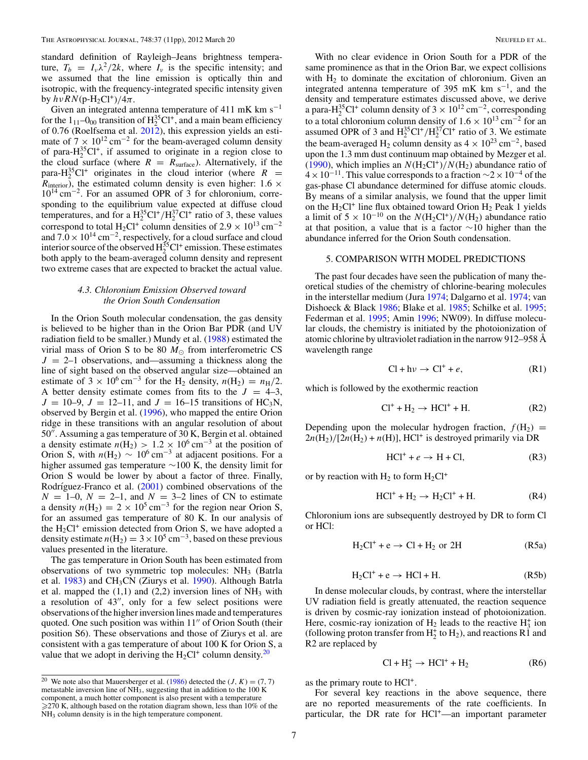<span id="page-6-0"></span>standard definition of Rayleigh–Jeans brightness temperature,  $T_b = I_v \lambda^2 / 2k$ , where  $I_v$  is the specific intensity; and we assumed that the line emission is optically thin and isotropic, with the frequency-integrated specific intensity given  $b$ *y*  $hν RN(p-H<sub>2</sub>Cl<sup>+</sup>)/4π$ .

Given an integrated antenna temperature of 411 mK km s<sup>-1</sup> for the  $1_{11}$ – $0_{00}$  transition of  $H_2^{35}Cl^+$ , and a main beam efficiency of 0.76 (Roelfsema et al. [2012\)](#page-10-0), this expression yields an estimate of  $7 \times 10^{12}$  cm<sup>-2</sup> for the beam-averaged column density of para-H<sub>2</sub><sup>35</sup>Cl<sup>+</sup>, if assumed to originate in a region close to the cloud surface (where  $R = R_{\text{surface}}$ ). Alternatively, if the para-H<sub>2</sub><sup>35</sup>Cl<sup>+</sup> originates in the cloud interior (where  $R =$  $R_{interior}$ , the estimated column density is even higher: 1.6  $\times$ 1014 cm−2. For an assumed OPR of 3 for chloronium, corresponding to the equilibrium value expected at diffuse cloud temperatures, and for a  $H_2^{35}Cl^+/H_2^{37}Cl^+$  ratio of 3, these values correspond to total H<sub>2</sub>Cl<sup>+</sup> column densities of 2.9  $\times$  10<sup>13</sup> cm<sup>-2</sup> and  $7.0 \times 10^{14}$  cm<sup>-2</sup>, respectively, for a cloud surface and cloud interior source of the observed  $H_2^{35}Cl^+$  emission. These estimates both apply to the beam-averaged column density and represent two extreme cases that are expected to bracket the actual value.

#### *4.3. Chloronium Emission Observed toward the Orion South Condensation*

In the Orion South molecular condensation, the gas density is believed to be higher than in the Orion Bar PDR (and UV radiation field to be smaller.) Mundy et al. [\(1988\)](#page-10-0) estimated the virial mass of Orion S to be 80  $M_{\odot}$  from interferometric CS  $J = 2-1$  observations, and—assuming a thickness along the line of sight based on the observed angular size—obtained an estimate of  $3 \times 10^6$  cm<sup>-3</sup> for the H<sub>2</sub> density,  $n(H_2) = n_H/2$ . A better density estimate comes from fits to the  $J = 4-3$ ,  $J = 10-9$ ,  $J = 12-11$ , and  $J = 16-15$  transitions of HC<sub>3</sub>N, observed by Bergin et al. [\(1996\)](#page-10-0), who mapped the entire Orion ridge in these transitions with an angular resolution of about  $50<sup>7</sup>$ . Assuming a gas temperature of 30 K, Bergin et al. obtained a density estimate  $n(H_2) > 1.2 \times 10^6$  cm<sup>-3</sup> at the position of Orion S, with  $n(H_2) \sim 10^6$  cm<sup>-3</sup> at adjacent positions. For a higher assumed gas temperature ∼100 K, the density limit for Orion S would be lower by about a factor of three. Finally, Rodríguez-Franco et al.  $(2001)$  combined observations of the  $N = 1-0$ ,  $N = 2-1$ , and  $N = 3-2$  lines of CN to estimate a density  $n(H_2) = 2 \times 10^5$  cm<sup>-3</sup> for the region near Orion S, for an assumed gas temperature of 80 K. In our analysis of the  $H_2Cl^+$  emission detected from Orion S, we have adopted a density estimate  $n(H_2) = 3 \times 10^5$  cm<sup>-3</sup>, based on these previous values presented in the literature.

The gas temperature in Orion South has been estimated from observations of two symmetric top molecules: NH<sub>3</sub> (Batrla et al. [1983\)](#page-10-0) and CH3CN (Ziurys et al. [1990\)](#page-10-0). Although Batrla et al. mapped the  $(1,1)$  and  $(2,2)$  inversion lines of NH<sub>3</sub> with a resolution of  $43''$ , only for a few select positions were observations of the higher inversion lines made and temperatures quoted. One such position was within  $11''$  of Orion South (their position S6). These observations and those of Ziurys et al. are consistent with a gas temperature of about 100 K for Orion S, a value that we adopt in deriving the  $H_2Cl^+$  column density.<sup>20</sup>

<sup>20</sup> We note also that Mauersberger et al. [\(1986\)](#page-10-0) detected the  $(J, K) = (7, 7)$ metastable inversion line of  $NH_3$ , suggesting that in addition to the 100 K component, a much hotter component is also present with a temperature -270 K, although based on the rotation diagram shown, less than 10% of the NH3 column density is in the high temperature component.

With no clear evidence in Orion South for a PDR of the same prominence as that in the Orion Bar, we expect collisions with  $H_2$  to dominate the excitation of chloronium. Given an integrated antenna temperature of 395 mK km s<sup>-1</sup>, and the density and temperature estimates discussed above, we derive a para-H<sup>35</sup>Cl<sup>+</sup> column density of 3 × 10<sup>12</sup> cm<sup>-2</sup>, corresponding to a total chloronium column density of  $1.6 \times 10^{13}$  cm<sup>-2</sup> for an assumed OPR of 3 and  $H_2^{35}Cl^+/H_2^{37}Cl^+$  ratio of 3. We estimate the beam-averaged H<sub>2</sub> column density as  $4 \times 10^{23}$  cm<sup>-2</sup>, based upon the 1.3 mm dust continuum map obtained by Mezger et al. [\(1990\)](#page-10-0), which implies an  $N(H_2Cl^+)/N(H_2)$  abundance ratio of  $4 \times 10^{-11}$ . This value corresponds to a fraction  $\sim 2 \times 10^{-4}$  of the gas-phase Cl abundance determined for diffuse atomic clouds. By means of a similar analysis, we found that the upper limit on the  $H_2Cl^+$  line flux obtained toward Orion  $H_2$  Peak 1 yields a limit of  $5 \times 10^{-10}$  on the  $N(H_2Cl^+)/N(H_2)$  abundance ratio at that position, a value that is a factor  $\sim$ 10 higher than the abundance inferred for the Orion South condensation.

#### 5. COMPARISON WITH MODEL PREDICTIONS

The past four decades have seen the publication of many theoretical studies of the chemistry of chlorine-bearing molecules in the interstellar medium (Jura [1974;](#page-10-0) Dalgarno et al. [1974;](#page-10-0) van Dishoeck & Black [1986;](#page-10-0) Blake et al. [1985;](#page-10-0) Schilke et al. [1995;](#page-10-0) Federman et al. [1995;](#page-10-0) Amin [1996;](#page-10-0) NW09). In diffuse molecular clouds, the chemistry is initiated by the photoionization of atomic chlorine by ultraviolet radiation in the narrow 912–958 Å wavelength range

$$
Cl + h\nu \to Cl^{+} + e, \tag{R1}
$$

which is followed by the exothermic reaction

$$
Cl^+ + H_2 \rightarrow HCl^+ + H. \tag{R2}
$$

Depending upon the molecular hydrogen fraction,  $f(H_2)$  =  $2n(H_2)/[2n(H_2) + n(H)]$ , HCl<sup>+</sup> is destroyed primarily via DR

$$
HCl^{+} + e \rightarrow H + Cl,
$$
 (R3)

or by reaction with  $H_2$  to form  $H_2Cl^+$ 

$$
HCl^{+} + H_{2} \rightarrow H_{2}Cl^{+} + H. \tag{R4}
$$

Chloronium ions are subsequently destroyed by DR to form Cl or HCl:

$$
H_2Cl^+ + e \rightarrow Cl + H_2 \text{ or } 2H \tag{R5a}
$$

$$
H_2Cl^+ + e \to HCl + H. \tag{R5b}
$$

In dense molecular clouds, by contrast, where the interstellar UV radiation field is greatly attenuated, the reaction sequence is driven by cosmic-ray ionization instead of photoionization. Here, cosmic-ray ionization of  $H_2$  leads to the reactive  $H_3^+$  ion (following proton transfer from  $H_2^+$  to  $H_2$ ), and reactions R1 and R2 are replaced by

$$
Cl + H_3^+ \rightarrow HCl^+ + H_2 \tag{R6}
$$

as the primary route to HCl+.

For several key reactions in the above sequence, there are no reported measurements of the rate coefficients. In particular, the DR rate for HCl+—an important parameter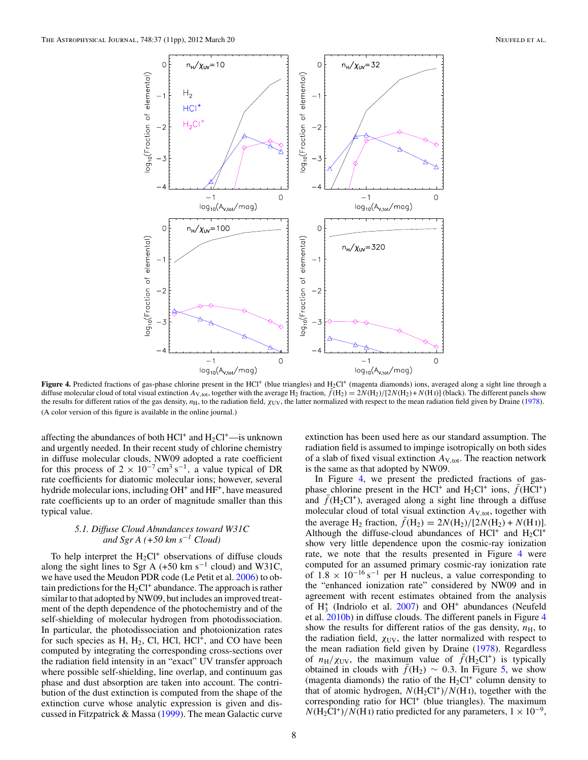<span id="page-7-0"></span>

**Figure 4.** Predicted fractions of gas-phase chlorine present in the HCl<sup>+</sup> (blue triangles) and H<sub>2</sub>Cl<sup>+</sup> (magenta diamonds) ions, averaged along a sight line through a diffuse molecular cloud of total visual extinction  $A_{\rm V, tot}$ , together with the average H<sub>2</sub> fraction,  $\bar{f}$ (H<sub>2</sub>) =  $2N(H_2)/[2N(H_2) + N(H_1)]$  (black). The different panels show the results for different ratios of the gas density, *n*H, to the radiation field, *χ*UV, the latter normalized with respect to the mean radiation field given by Draine [\(1978\)](#page-10-0). (A color version of this figure is available in the online journal.)

affecting the abundances of both  $HC1^+$  and  $H_2Cl^+$ —is unknown and urgently needed. In their recent study of chlorine chemistry in diffuse molecular clouds, NW09 adopted a rate coefficient for this process of  $2 \times 10^{-7}$  cm<sup>3</sup> s<sup>-1</sup>, a value typical of DR rate coefficients for diatomic molecular ions; however, several hydride molecular ions, including OH<sup>+</sup> and HF<sup>+</sup>, have measured rate coefficients up to an order of magnitude smaller than this typical value.

### *5.1. Diffuse Cloud Abundances toward W31C and Sgr A (+50 km s*−*<sup>1</sup> Cloud)*

To help interpret the  $H_2Cl^+$  observations of diffuse clouds along the sight lines to Sgr A (+50 km s<sup>-1</sup> cloud) and W31C, we have used the Meudon PDR code (Le Petit et al. [2006\)](#page-10-0) to obtain predictions for the  $H_2Cl^+$  abundance. The approach is rather similar to that adopted by NW09, but includes an improved treatment of the depth dependence of the photochemistry and of the self-shielding of molecular hydrogen from photodissociation. In particular, the photodissociation and photoionization rates for such species as H,  $H_2$ , Cl, HCl, HCl<sup>+</sup>, and CO have been computed by integrating the corresponding cross-sections over the radiation field intensity in an "exact" UV transfer approach where possible self-shielding, line overlap, and continuum gas phase and dust absorption are taken into account. The contribution of the dust extinction is computed from the shape of the extinction curve whose analytic expression is given and discussed in Fitzpatrick & Massa [\(1999\)](#page-10-0). The mean Galactic curve

extinction has been used here as our standard assumption. The radiation field is assumed to impinge isotropically on both sides of a slab of fixed visual extinction  $A_{V,tot}$ . The reaction network is the same as that adopted by NW09.

In Figure 4, we present the predicted fractions of gasphase chlorine present in the HCl<sup>+</sup> and H<sub>2</sub>Cl<sup>+</sup> ions,  $\bar{f}$ (HCl<sup>+</sup>) and  $\bar{f}$ (H<sub>2</sub>Cl<sup>+</sup>), averaged along a sight line through a diffuse molecular cloud of total visual extinction *A*V*,*tot, together with the average H<sub>2</sub> fraction,  $\bar{f}(H_2) = 2N(H_2)/[2N(H_2) + N(H_1)].$ Although the diffuse-cloud abundances of  $HC1^+$  and  $H_2Cl^+$ show very little dependence upon the cosmic-ray ionization rate, we note that the results presented in Figure 4 were computed for an assumed primary cosmic-ray ionization rate of  $1.8 \times 10^{-16}$  s<sup>-1</sup> per H nucleus, a value corresponding to the "enhanced ionization rate" considered by NW09 and in agreement with recent estimates obtained from the analysis of  $H_3^+$  (Indriolo et al. [2007\)](#page-10-0) and OH<sup>+</sup> abundances (Neufeld et al. [2010b\)](#page-10-0) in diffuse clouds. The different panels in Figure 4 show the results for different ratios of the gas density,  $n_{\rm H}$ , to the radiation field,  $\chi_{UV}$ , the latter normalized with respect to the mean radiation field given by Draine [\(1978\)](#page-10-0). Regardless of  $n_H/\chi_{UV}$ , the maximum value of  $\bar{f}(H_2Cl^+)$  is typically obtained in clouds with  $\bar{f}(H_2) \sim 0.3$ . In Figure [5,](#page-8-0) we show (magenta diamonds) the ratio of the  $H_2Cl^+$  column density to that of atomic hydrogen,  $N(H_2Cl^+)/N(H_1)$ , together with the corresponding ratio for HCl+ (blue triangles). The maximum  $N(H_2Cl^+)/N(H_I)$  ratio predicted for any parameters,  $1 \times 10^{-9}$ ,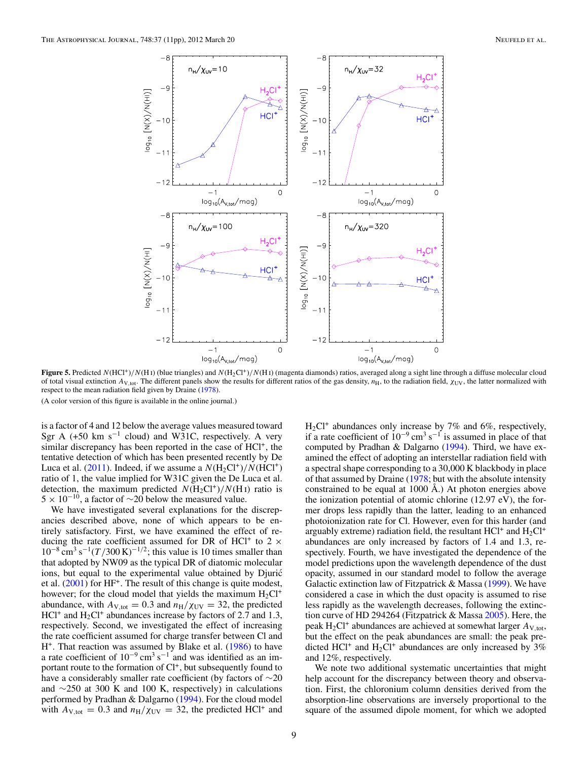<span id="page-8-0"></span>

**Figure 5.** Predicted *N*(HCl+)*/N*(H i) (blue triangles) and *N*(H2Cl+)*/N*(H i) (magenta diamonds) ratios, averaged along a sight line through a diffuse molecular cloud of total visual extinction  $A_{V, \text{tot}}$ . The different panels show the results for different ratios of the gas density,  $n_H$ , to the radiation field,  $\chi_{UV}$ , the latter normalized with respect to the mean radiation field given by Draine [\(1978\)](#page-10-0).

(A color version of this figure is available in the online journal.)

is a factor of 4 and 12 below the average values measured toward Sgr A (+50 km s<sup>-1</sup> cloud) and W31C, respectively. A very similar discrepancy has been reported in the case of HCl<sup>+</sup>, the tentative detection of which has been presented recently by De Luca et al.  $(2011)$ . Indeed, if we assume a  $N(H_2Cl^+)/N(HCl^+)$ ratio of 1, the value implied for W31C given the De Luca et al. detection, the maximum predicted  $N(H_2Cl^+)/N(H_I)$  ratio is  $5 \times 10^{-10}$ , a factor of ~20 below the measured value.

We have investigated several explanations for the discrepancies described above, none of which appears to be entirely satisfactory. First, we have examined the effect of reducing the rate coefficient assumed for DR of HCl<sup>+</sup> to 2  $\times$  $10^{-8}$  cm<sup>3</sup> s<sup>-1</sup>(*T*/300 K)<sup>-1/2</sup>; this value is 10 times smaller than that adopted by NW09 as the typical DR of diatomic molecular ions, but equal to the experimental value obtained by Djurić et al. [\(2001\)](#page-10-0) for HF+. The result of this change is quite modest, however; for the cloud model that yields the maximum  $H_2Cl^+$ abundance, with  $A_{V,tot} = 0.3$  and  $n_H/\chi_{UV} = 32$ , the predicted  $HC1^+$  and  $H_2Cl^+$  abundances increase by factors of 2.7 and 1.3, respectively. Second, we investigated the effect of increasing the rate coefficient assumed for charge transfer between Cl and H<sup>+</sup>. That reaction was assumed by Blake et al. [\(1986\)](#page-10-0) to have a rate coefficient of  $10^{-9}$  cm<sup>3</sup> s<sup>-1</sup> and was identified as an important route to the formation of  $Cl<sup>+</sup>$ , but subsequently found to have a considerably smaller rate coefficient (by factors of  $\sim$ 20 and ∼250 at 300 K and 100 K, respectively) in calculations performed by Pradhan & Dalgarno [\(1994\)](#page-10-0). For the cloud model with  $A_{V,tot} = 0.3$  and  $n_H/\chi_{UV} = 32$ , the predicted HCl<sup>+</sup> and

 $H_2Cl^+$  abundances only increase by 7% and 6%, respectively, if a rate coefficient of  $10^{-9}$  cm<sup>3</sup> s<sup>-1</sup> is assumed in place of that computed by Pradhan & Dalgarno [\(1994\)](#page-10-0). Third, we have examined the effect of adopting an interstellar radiation field with a spectral shape corresponding to a 30,000 K blackbody in place of that assumed by Draine [\(1978;](#page-10-0) but with the absolute intensity constrained to be equal at 1000 Å.) At photon energies above the ionization potential of atomic chlorine (12.97 eV), the former drops less rapidly than the latter, leading to an enhanced photoionization rate for Cl. However, even for this harder (and arguably extreme) radiation field, the resultant  $HCl^+$  and  $H_2Cl^+$ abundances are only increased by factors of 1.4 and 1.3, respectively. Fourth, we have investigated the dependence of the model predictions upon the wavelength dependence of the dust opacity, assumed in our standard model to follow the average Galactic extinction law of Fitzpatrick & Massa [\(1999\)](#page-10-0). We have considered a case in which the dust opacity is assumed to rise less rapidly as the wavelength decreases, following the extinction curve of HD 294264 (Fitzpatrick & Massa [2005\)](#page-10-0). Here, the peak  $H_2Cl^+$  abundances are achieved at somewhat larger  $A_{V,tot}$ , but the effect on the peak abundances are small: the peak predicted HCl<sup>+</sup> and H<sub>2</sub>Cl<sup>+</sup> abundances are only increased by 3% and 12%, respectively.

We note two additional systematic uncertainties that might help account for the discrepancy between theory and observation. First, the chloronium column densities derived from the absorption-line observations are inversely proportional to the square of the assumed dipole moment, for which we adopted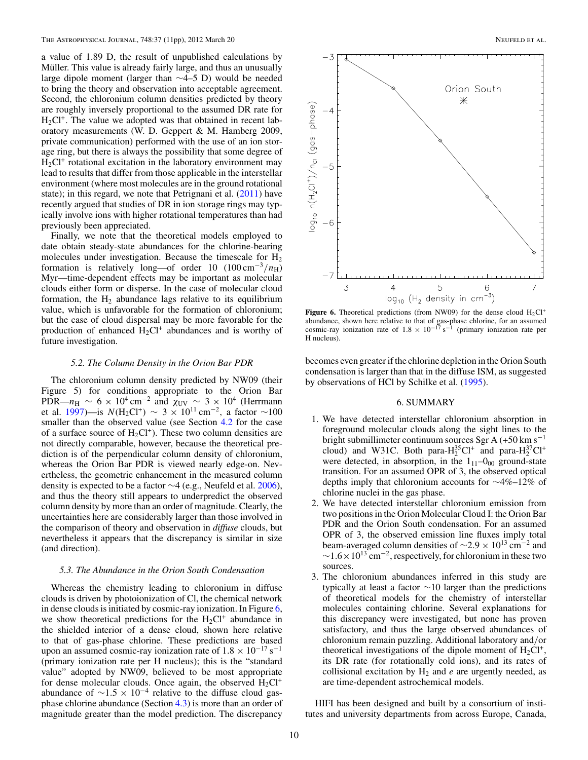a value of 1.89 D, the result of unpublished calculations by Müller. This value is already fairly large, and thus an unusually large dipole moment (larger than ∼4–5 D) would be needed to bring the theory and observation into acceptable agreement. Second, the chloronium column densities predicted by theory are roughly inversely proportional to the assumed DR rate for  $H<sub>2</sub>Cl<sup>+</sup>$ . The value we adopted was that obtained in recent laboratory measurements (W. D. Geppert & M. Hamberg 2009, private communication) performed with the use of an ion storage ring, but there is always the possibility that some degree of  $H<sub>2</sub>Cl<sup>+</sup>$  rotational excitation in the laboratory environment may lead to results that differ from those applicable in the interstellar environment (where most molecules are in the ground rotational state); in this regard, we note that Petrignani et al. [\(2011\)](#page-10-0) have recently argued that studies of DR in ion storage rings may typically involve ions with higher rotational temperatures than had previously been appreciated.

Finally, we note that the theoretical models employed to date obtain steady-state abundances for the chlorine-bearing molecules under investigation. Because the timescale for  $H_2$ formation is relatively long—of order 10  $(100 \text{ cm}^{-3}/n_{\text{H}})$ Myr—time-dependent effects may be important as molecular clouds either form or disperse. In the case of molecular cloud formation, the  $H<sub>2</sub>$  abundance lags relative to its equilibrium value, which is unfavorable for the formation of chloronium; but the case of cloud dispersal may be more favorable for the production of enhanced  $H_2Cl^+$  abundances and is worthy of future investigation.

#### *5.2. The Column Density in the Orion Bar PDR*

The chloronium column density predicted by NW09 (their Figure 5) for conditions appropriate to the Orion Bar PDR— $n_H \sim 6 \times 10^4 \text{ cm}^{-2}$  and  $\chi_{UV} \sim 3 \times 10^4$  (Herrmann et al. [1997\)](#page-10-0)—is  $N(H_2Cl^+) \sim 3 \times 10^{11}$  cm<sup>-2</sup>, a factor ~100 smaller than the observed value (see Section [4.2](#page-5-0) for the case of a surface source of  $H_2Cl^+$ ). These two column densities are not directly comparable, however, because the theoretical prediction is of the perpendicular column density of chloronium, whereas the Orion Bar PDR is viewed nearly edge-on. Nevertheless, the geometric enhancement in the measured column density is expected to be a factor ∼4 (e.g., Neufeld et al. [2006\)](#page-10-0), and thus the theory still appears to underpredict the observed column density by more than an order of magnitude. Clearly, the uncertainties here are considerably larger than those involved in the comparison of theory and observation in *diffuse* clouds, but nevertheless it appears that the discrepancy is similar in size (and direction).

# *5.3. The Abundance in the Orion South Condensation*

Whereas the chemistry leading to chloronium in diffuse clouds is driven by photoionization of Cl, the chemical network in dense clouds is initiated by cosmic-ray ionization. In Figure 6, we show theoretical predictions for the  $H_2Cl^+$  abundance in the shielded interior of a dense cloud, shown here relative to that of gas-phase chlorine. These predictions are based upon an assumed cosmic-ray ionization rate of  $1.8 \times 10^{-17}$  s<sup>-1</sup> (primary ionization rate per H nucleus); this is the "standard value" adopted by NW09, believed to be most appropriate for dense molecular clouds. Once again, the observed  $H_2Cl^+$ abundance of  $\sim$ 1.5 × 10<sup>-4</sup> relative to the diffuse cloud gasphase chlorine abundance (Section [4.3\)](#page-6-0) is more than an order of magnitude greater than the model prediction. The discrepancy



**Figure 6.** Theoretical predictions (from NW09) for the dense cloud  $H_2Cl^+$ abundance, shown here relative to that of gas-phase chlorine, for an assumed cosmic-ray ionization rate of 1*.*<sup>8</sup> <sup>×</sup> <sup>10</sup>−<sup>17</sup> <sup>s</sup>−<sup>1</sup> (primary ionization rate per H nucleus).

becomes even greater if the chlorine depletion in the Orion South condensation is larger than that in the diffuse ISM, as suggested by observations of HCl by Schilke et al. [\(1995\)](#page-10-0).

# 6. SUMMARY

- 1. We have detected interstellar chloronium absorption in foreground molecular clouds along the sight lines to the bright submillimeter continuum sources Sgr A  $(+50 \text{ km s}^{-1})$ cloud) and W31C. Both para- $H_2^{35}Cl^+$  and para- $H_2^{37}Cl^+$ were detected, in absorption, in the  $1_{11}-0_{00}$  ground-state transition. For an assumed OPR of 3, the observed optical depths imply that chloronium accounts for ∼4%–12% of chlorine nuclei in the gas phase.
- 2. We have detected interstellar chloronium emission from two positions in the Orion Molecular Cloud I: the Orion Bar PDR and the Orion South condensation. For an assumed OPR of 3, the observed emission line fluxes imply total beam-averaged column densities of <sup>∼</sup>2*.*<sup>9</sup> <sup>×</sup> 1013 cm−<sup>2</sup> and  $\sim$ 1.6 × 10<sup>13</sup> cm<sup>-2</sup>, respectively, for chloronium in these two sources.
- 3. The chloronium abundances inferred in this study are typically at least a factor  $\sim$ 10 larger than the predictions of theoretical models for the chemistry of interstellar molecules containing chlorine. Several explanations for this discrepancy were investigated, but none has proven satisfactory, and thus the large observed abundances of chloronium remain puzzling. Additional laboratory and*/*or theoretical investigations of the dipole moment of  $H_2Cl^+$ , its DR rate (for rotationally cold ions), and its rates of collisional excitation by  $H_2$  and  $e$  are urgently needed, as are time-dependent astrochemical models.

HIFI has been designed and built by a consortium of institutes and university departments from across Europe, Canada,